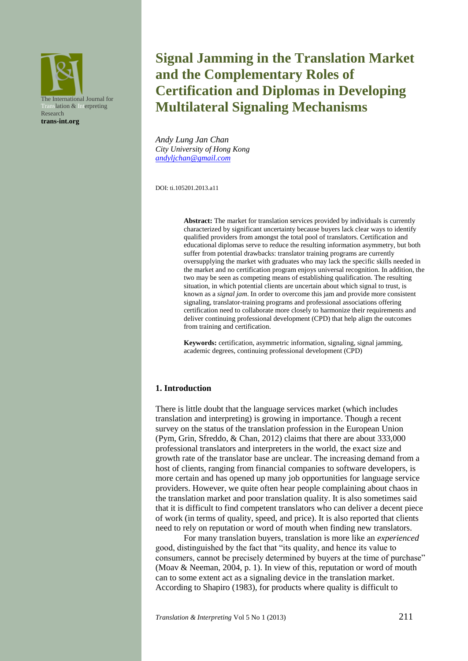

# **Signal Jamming in the Translation Market and the Complementary Roles of Certification and Diplomas in Developing Multilateral Signaling Mechanisms**

*Andy Lung Jan Chan City University of Hong Kong [andyljchan@gmail.com](mailto:andyljchan@gmail.com)*

DOI: ti.105201.2013.a11

**Abstract:** The market for translation services provided by individuals is currently characterized by significant uncertainty because buyers lack clear ways to identify qualified providers from amongst the total pool of translators. Certification and educational diplomas serve to reduce the resulting information asymmetry, but both suffer from potential drawbacks: translator training programs are currently oversupplying the market with graduates who may lack the specific skills needed in the market and no certification program enjoys universal recognition. In addition, the two may be seen as competing means of establishing qualification. The resulting situation, in which potential clients are uncertain about which signal to trust, is known as a *signal jam*. In order to overcome this jam and provide more consistent signaling, translator-training programs and professional associations offering certification need to collaborate more closely to harmonize their requirements and deliver continuing professional development (CPD) that help align the outcomes from training and certification.

**Keywords:** certification, asymmetric information, signaling, signal jamming, academic degrees, continuing professional development (CPD)

### **1. Introduction**

There is little doubt that the language services market (which includes translation and interpreting) is growing in importance. Though a recent survey on the status of the translation profession in the European Union (Pym, Grin, Sfreddo, & Chan, 2012) claims that there are about 333,000 professional translators and interpreters in the world, the exact size and growth rate of the translator base are unclear. The increasing demand from a host of clients, ranging from financial companies to software developers, is more certain and has opened up many job opportunities for language service providers. However, we quite often hear people complaining about chaos in the translation market and poor translation quality. It is also sometimes said that it is difficult to find competent translators who can deliver a decent piece of work (in terms of quality, speed, and price). It is also reported that clients need to rely on reputation or word of mouth when finding new translators.

For many translation buyers, translation is more like an *experienced* good, distinguished by the fact that "its quality, and hence its value to consumers, cannot be precisely determined by buyers at the time of purchase" (Moav & Neeman, 2004, p. 1). In view of this, reputation or word of mouth can to some extent act as a signaling device in the translation market. According to Shapiro (1983), for products where quality is difficult to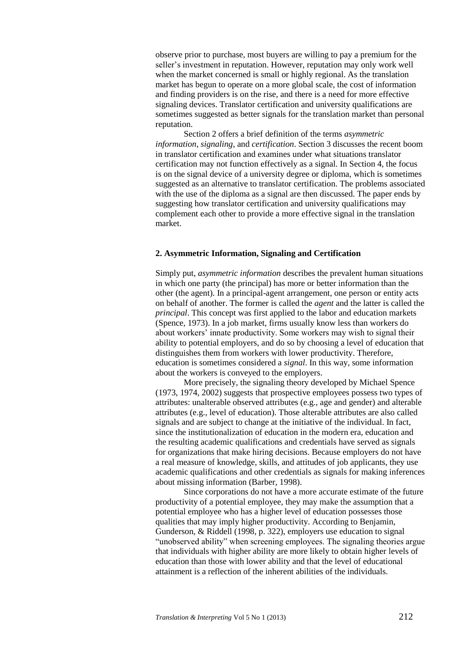observe prior to purchase, most buyers are willing to pay a premium for the seller's investment in reputation. However, reputation may only work well when the market concerned is small or highly regional. As the translation market has begun to operate on a more global scale, the cost of information and finding providers is on the rise, and there is a need for more effective signaling devices. Translator certification and university qualifications are sometimes suggested as better signals for the translation market than personal reputation.

Section 2 offers a brief definition of the terms *asymmetric information*, *signaling*, and *certification*. Section 3 discusses the recent boom in translator certification and examines under what situations translator certification may not function effectively as a signal. In Section 4, the focus is on the signal device of a university degree or diploma, which is sometimes suggested as an alternative to translator certification. The problems associated with the use of the diploma as a signal are then discussed. The paper ends by suggesting how translator certification and university qualifications may complement each other to provide a more effective signal in the translation market.

## **2. Asymmetric Information, Signaling and Certification**

Simply put, *asymmetric information* describes the prevalent human situations in which one party (the principal) has more or better information than the other (the agent). In a principal-agent arrangement, one person or entity acts on behalf of another. The former is called the *agent* and the latter is called the *principal*. This concept was first applied to the labor and education markets (Spence, 1973). In a job market, firms usually know less than workers do about workers' innate productivity. Some workers may wish to signal their ability to potential employers, and do so by choosing a level of education that distinguishes them from workers with lower productivity. Therefore, education is sometimes considered a *signal*. In this way, some information about the workers is conveyed to the employers.

More precisely, the signaling theory developed by Michael Spence (1973, 1974, 2002) suggests that prospective employees possess two types of attributes: unalterable observed attributes (e.g., age and gender) and alterable attributes (e.g., level of education). Those alterable attributes are also called signals and are subject to change at the initiative of the individual. In fact, since the institutionalization of education in the modern era, education and the resulting academic qualifications and credentials have served as signals for organizations that make hiring decisions. Because employers do not have a real measure of knowledge, skills, and attitudes of job applicants, they use academic qualifications and other credentials as signals for making inferences about missing information (Barber, 1998).

Since corporations do not have a more accurate estimate of the future productivity of a potential employee, they may make the assumption that a potential employee who has a higher level of education possesses those qualities that may imply higher productivity. According to Benjamin, Gunderson, & Riddell (1998, p. 322), employers use education to signal "unobserved ability" when screening employees. The signaling theories argue that individuals with higher ability are more likely to obtain higher levels of education than those with lower ability and that the level of educational attainment is a reflection of the inherent abilities of the individuals.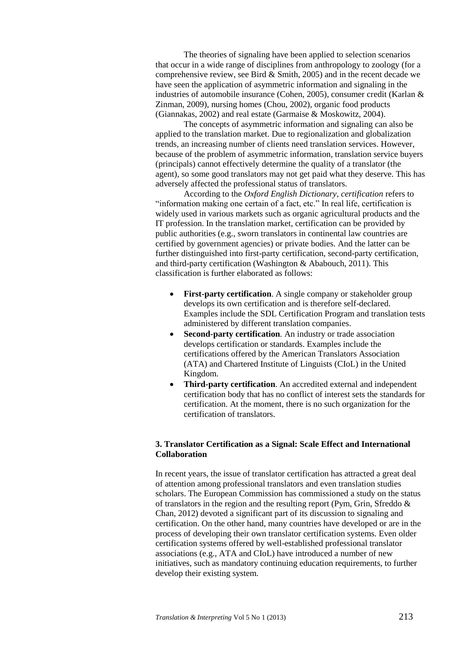The theories of signaling have been applied to selection scenarios that occur in a wide range of disciplines from anthropology to zoology (for a comprehensive review, see Bird & Smith, 2005) and in the recent decade we have seen the application of asymmetric information and signaling in the industries of automobile insurance (Cohen, 2005), consumer credit (Karlan & Zinman, 2009), nursing homes (Chou, 2002), organic food products (Giannakas, 2002) and real estate (Garmaise & Moskowitz, 2004).

The concepts of asymmetric information and signaling can also be applied to the translation market. Due to regionalization and globalization trends, an increasing number of clients need translation services. However, because of the problem of asymmetric information, translation service buyers (principals) cannot effectively determine the quality of a translator (the agent), so some good translators may not get paid what they deserve. This has adversely affected the professional status of translators.

According to the *Oxford English Dictionary*, *certification* refers to "information making one certain of a fact, etc." In real life, certification is widely used in various markets such as organic agricultural products and the IT profession. In the translation market, certification can be provided by public authorities (e.g., sworn translators in continental law countries are certified by government agencies) or private bodies. And the latter can be further distinguished into first-party certification, second-party certification, and third-party certification (Washington & Ababouch, 2011). This classification is further elaborated as follows:

- **First-party certification**. A single company or stakeholder group develops its own certification and is therefore self-declared. Examples include the SDL Certification Program and translation tests administered by different translation companies.
- **Second-party certification**. An industry or trade association develops certification or standards. Examples include the certifications offered by the American Translators Association (ATA) and Chartered Institute of Linguists (CIoL) in the United Kingdom.
- **Third-party certification**. An accredited external and independent certification body that has no conflict of interest sets the standards for certification. At the moment, there is no such organization for the certification of translators.

# **3. Translator Certification as a Signal: Scale Effect and International Collaboration**

In recent years, the issue of translator certification has attracted a great deal of attention among professional translators and even translation studies scholars. The European Commission has commissioned a study on the status of translators in the region and the resulting report (Pym, Grin, Sfreddo  $\&$ Chan, 2012) devoted a significant part of its discussion to signaling and certification. On the other hand, many countries have developed or are in the process of developing their own translator certification systems. Even older certification systems offered by well-established professional translator associations (e.g., ATA and CIoL) have introduced a number of new initiatives, such as mandatory continuing education requirements, to further develop their existing system.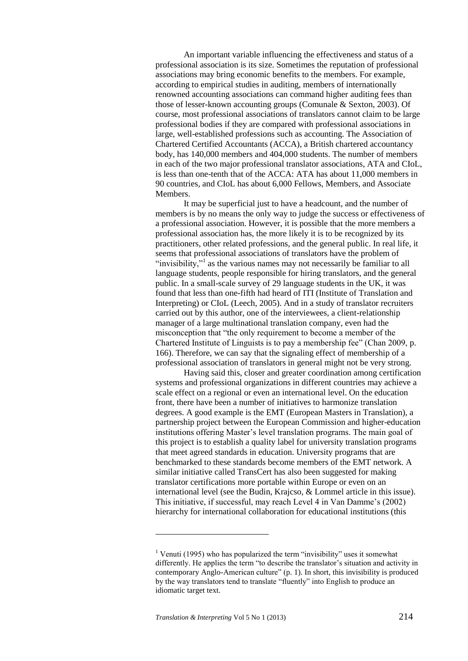An important variable influencing the effectiveness and status of a professional association is its size. Sometimes the reputation of professional associations may bring economic benefits to the members. For example, according to empirical studies in auditing, members of internationally renowned accounting associations can command higher auditing fees than those of lesser-known accounting groups (Comunale & Sexton, 2003). Of course, most professional associations of translators cannot claim to be large professional bodies if they are compared with professional associations in large, well-established professions such as accounting. The Association of Chartered Certified Accountants (ACCA), a British chartered accountancy body, has 140,000 members and 404,000 students. The number of members in each of the two major professional translator associations, ATA and CIoL, is less than one-tenth that of the ACCA: ATA has about 11,000 members in 90 countries, and CIoL has about 6,000 Fellows, Members, and Associate Members.

It may be superficial just to have a headcount, and the number of members is by no means the only way to judge the success or effectiveness of a professional association. However, it is possible that the more members a professional association has, the more likely it is to be recognized by its practitioners, other related professions, and the general public. In real life, it seems that professional associations of translators have the problem of "invisibility,"<sup>1</sup> as the various names may not necessarily be familiar to all language students, people responsible for hiring translators, and the general public. In a small-scale survey of 29 language students in the UK, it was found that less than one-fifth had heard of ITI (Institute of Translation and Interpreting) or CIoL (Leech, 2005). And in a study of translator recruiters carried out by this author, one of the interviewees, a client-relationship manager of a large multinational translation company, even had the misconception that "the only requirement to become a member of the Chartered Institute of Linguists is to pay a membership fee" (Chan 2009, p. 166). Therefore, we can say that the signaling effect of membership of a professional association of translators in general might not be very strong.

Having said this, closer and greater coordination among certification systems and professional organizations in different countries may achieve a scale effect on a regional or even an international level. On the education front, there have been a number of initiatives to harmonize translation degrees. A good example is the EMT (European Masters in Translation), a partnership project between the European Commission and higher-education institutions offering Master's level translation programs. The main goal of this project is to establish a quality label for university translation programs that meet agreed standards in education. University programs that are benchmarked to these standards become members of the EMT network. A similar initiative called TransCert has also been suggested for making translator certifications more portable within Europe or even on an international level (see the Budin, Krajcso, & Lommel article in this issue). This initiative, if successful, may reach Level 4 in Van Damme's (2002) hierarchy for international collaboration for educational institutions (this

1

<sup>&</sup>lt;sup>1</sup> Venuti (1995) who has popularized the term "invisibility" uses it somewhat differently. He applies the term "to describe the translator's situation and activity in contemporary Anglo-American culture" (p. 1). In short, this invisibility is produced by the way translators tend to translate "fluently" into English to produce an idiomatic target text.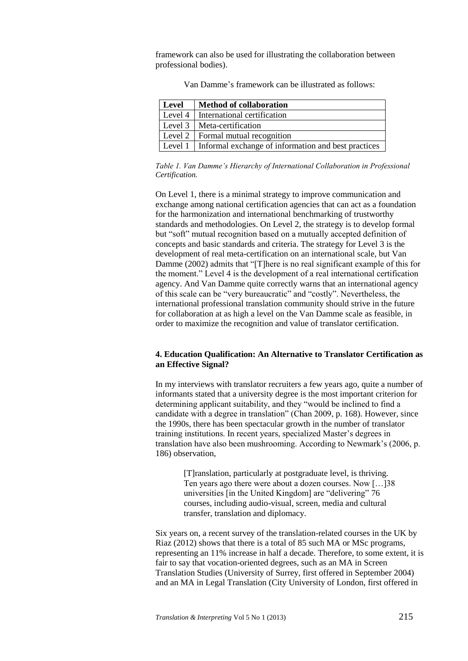framework can also be used for illustrating the collaboration between professional bodies).

| Level | <b>Method of collaboration</b>                                     |
|-------|--------------------------------------------------------------------|
|       | Level 4   International certification                              |
|       | Level 3   Meta-certification                                       |
|       | Level 2   Formal mutual recognition                                |
|       | Level $1 \mid$ Informal exchange of information and best practices |

Van Damme's framework can be illustrated as follows:

*Table 1. Van Damme's Hierarchy of International Collaboration in Professional Certification.*

On Level 1, there is a minimal strategy to improve communication and exchange among national certification agencies that can act as a foundation for the harmonization and international benchmarking of trustworthy standards and methodologies. On Level 2, the strategy is to develop formal but "soft" mutual recognition based on a mutually accepted definition of concepts and basic standards and criteria. The strategy for Level 3 is the development of real meta-certification on an international scale, but Van Damme (2002) admits that "[T]here is no real significant example of this for the moment." Level 4 is the development of a real international certification agency. And Van Damme quite correctly warns that an international agency of this scale can be "very bureaucratic" and "costly". Nevertheless, the international professional translation community should strive in the future for collaboration at as high a level on the Van Damme scale as feasible, in order to maximize the recognition and value of translator certification.

## **4. Education Qualification: An Alternative to Translator Certification as an Effective Signal?**

In my interviews with translator recruiters a few years ago, quite a number of informants stated that a university degree is the most important criterion for determining applicant suitability, and they "would be inclined to find a candidate with a degree in translation" (Chan 2009, p. 168). However, since the 1990s, there has been spectacular growth in the number of translator training institutions. In recent years, specialized Master's degrees in translation have also been mushrooming. According to Newmark's (2006, p. 186) observation,

> [T]ranslation, particularly at postgraduate level, is thriving. Ten years ago there were about a dozen courses. Now […]38 universities [in the United Kingdom] are "delivering" 76 courses, including audio-visual, screen, media and cultural transfer, translation and diplomacy.

Six years on, a recent survey of the translation-related courses in the UK by Riaz (2012) shows that there is a total of 85 such MA or MSc programs, representing an 11% increase in half a decade. Therefore, to some extent, it is fair to say that vocation-oriented degrees, such as an MA in Screen Translation Studies (University of Surrey, first offered in September 2004) and an MA in Legal Translation (City University of London, first offered in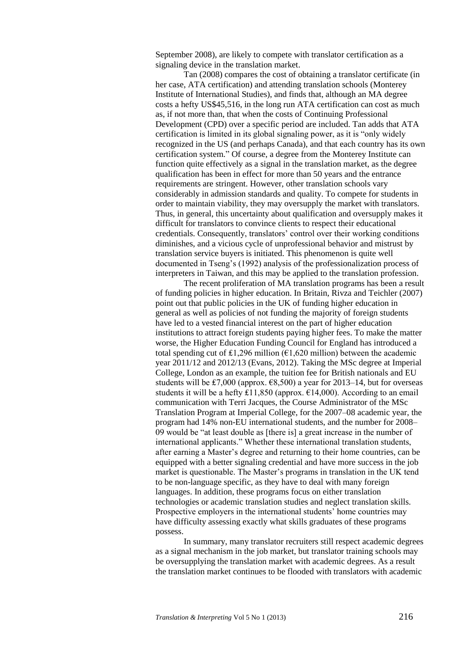September 2008), are likely to compete with translator certification as a signaling device in the translation market.

Tan (2008) compares the cost of obtaining a translator certificate (in her case, ATA certification) and attending translation schools (Monterey Institute of International Studies), and finds that, although an MA degree costs a hefty US\$45,516, in the long run ATA certification can cost as much as, if not more than, that when the costs of Continuing Professional Development (CPD) over a specific period are included. Tan adds that ATA certification is limited in its global signaling power, as it is "only widely recognized in the US (and perhaps Canada), and that each country has its own certification system." Of course, a degree from the Monterey Institute can function quite effectively as a signal in the translation market, as the degree qualification has been in effect for more than 50 years and the entrance requirements are stringent. However, other translation schools vary considerably in admission standards and quality. To compete for students in order to maintain viability, they may oversupply the market with translators. Thus, in general, this uncertainty about qualification and oversupply makes it difficult for translators to convince clients to respect their educational credentials. Consequently, translators' control over their working conditions diminishes, and a vicious cycle of unprofessional behavior and mistrust by translation service buyers is initiated. This phenomenon is quite well documented in Tseng's (1992) analysis of the professionalization process of interpreters in Taiwan, and this may be applied to the translation profession.

The recent proliferation of MA translation programs has been a result of funding policies in higher education. In Britain, Rivza and Teichler (2007) point out that public policies in the UK of funding higher education in general as well as policies of not funding the majority of foreign students have led to a vested financial interest on the part of higher education institutions to attract foreign students paying higher fees. To make the matter worse, the Higher Education Funding Council for England has introduced a total spending cut of £1,296 million (€1,620 million) between the academic year 2011/12 and 2012/13 (Evans, 2012). Taking the MSc degree at Imperial College, London as an example, the tuition fee for British nationals and EU students will be £7,000 (approx.  $\epsilon$ 8,500) a year for 2013–14, but for overseas students it will be a hefty £11,850 (approx.  $£14,000$ ). According to an email communication with Terri Jacques, the Course Administrator of the MSc Translation Program at Imperial College, for the 2007–08 academic year, the program had 14% non-EU international students, and the number for 2008– 09 would be "at least double as [there is] a great increase in the number of international applicants." Whether these international translation students, after earning a Master's degree and returning to their home countries, can be equipped with a better signaling credential and have more success in the job market is questionable. The Master's programs in translation in the UK tend to be non-language specific, as they have to deal with many foreign languages. In addition, these programs focus on either translation technologies or academic translation studies and neglect translation skills. Prospective employers in the international students' home countries may have difficulty assessing exactly what skills graduates of these programs possess.

In summary, many translator recruiters still respect academic degrees as a signal mechanism in the job market, but translator training schools may be oversupplying the translation market with academic degrees. As a result the translation market continues to be flooded with translators with academic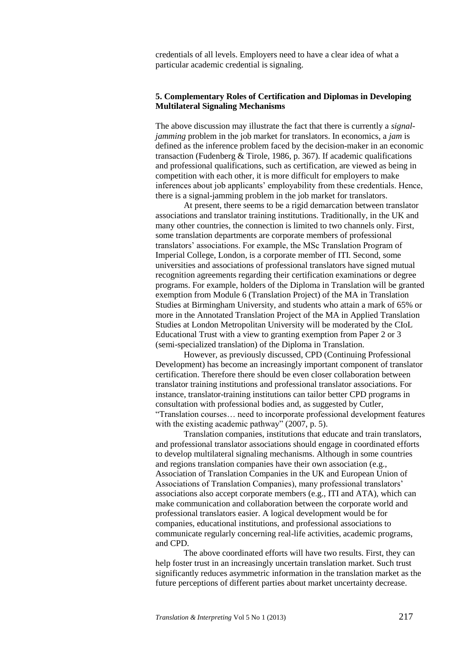credentials of all levels. Employers need to have a clear idea of what a particular academic credential is signaling.

## **5. Complementary Roles of Certification and Diplomas in Developing Multilateral Signaling Mechanisms**

The above discussion may illustrate the fact that there is currently a *signaljamming* problem in the job market for translators. In economics, a *jam* is defined as the inference problem faced by the decision-maker in an economic transaction (Fudenberg & Tirole, 1986, p. 367). If academic qualifications and professional qualifications, such as certification, are viewed as being in competition with each other, it is more difficult for employers to make inferences about job applicants' employability from these credentials. Hence, there is a signal-jamming problem in the job market for translators.

At present, there seems to be a rigid demarcation between translator associations and translator training institutions. Traditionally, in the UK and many other countries, the connection is limited to two channels only. First, some translation departments are corporate members of professional translators' associations. For example, the MSc Translation Program of Imperial College, London, is a corporate member of ITI. Second, some universities and associations of professional translators have signed mutual recognition agreements regarding their certification examinations or degree programs. For example, holders of the Diploma in Translation will be granted exemption from Module 6 (Translation Project) of the MA in Translation Studies at Birmingham University, and students who attain a mark of 65% or more in the Annotated Translation Project of the MA in Applied Translation Studies at London Metropolitan University will be moderated by the CIoL Educational Trust with a view to granting exemption from Paper 2 or 3 (semi-specialized translation) of the Diploma in Translation.

However, as previously discussed, CPD (Continuing Professional Development) has become an increasingly important component of translator certification. Therefore there should be even closer collaboration between translator training institutions and professional translator associations. For instance, translator-training institutions can tailor better CPD programs in consultation with professional bodies and, as suggested by Cutler, "Translation courses… need to incorporate professional development features with the existing academic pathway" (2007, p. 5).

Translation companies, institutions that educate and train translators, and professional translator associations should engage in coordinated efforts to develop multilateral signaling mechanisms. Although in some countries and regions translation companies have their own association (e.g., Association of Translation Companies in the UK and European Union of Associations of Translation Companies), many professional translators' associations also accept corporate members (e.g., ITI and ATA), which can make communication and collaboration between the corporate world and professional translators easier. A logical development would be for companies, educational institutions, and professional associations to communicate regularly concerning real-life activities, academic programs, and CPD.

The above coordinated efforts will have two results. First, they can help foster trust in an increasingly uncertain translation market. Such trust significantly reduces asymmetric information in the translation market as the future perceptions of different parties about market uncertainty decrease.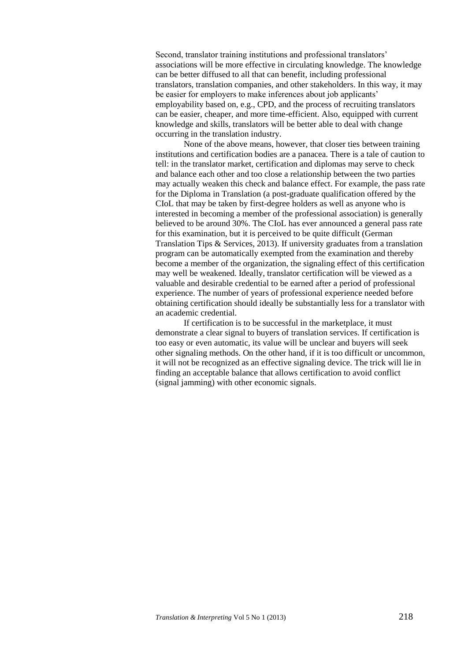Second, translator training institutions and professional translators' associations will be more effective in circulating knowledge. The knowledge can be better diffused to all that can benefit, including professional translators, translation companies, and other stakeholders. In this way, it may be easier for employers to make inferences about job applicants' employability based on, e.g., CPD, and the process of recruiting translators can be easier, cheaper, and more time-efficient. Also, equipped with current knowledge and skills, translators will be better able to deal with change occurring in the translation industry.

None of the above means, however, that closer ties between training institutions and certification bodies are a panacea. There is a tale of caution to tell: in the translator market, certification and diplomas may serve to check and balance each other and too close a relationship between the two parties may actually weaken this check and balance effect. For example, the pass rate for the Diploma in Translation (a post-graduate qualification offered by the CIoL that may be taken by first-degree holders as well as anyone who is interested in becoming a member of the professional association) is generally believed to be around 30%. The CIoL has ever announced a general pass rate for this examination, but it is perceived to be quite difficult (German Translation Tips & Services, 2013). If university graduates from a translation program can be automatically exempted from the examination and thereby become a member of the organization, the signaling effect of this certification may well be weakened. Ideally, translator certification will be viewed as a valuable and desirable credential to be earned after a period of professional experience. The number of years of professional experience needed before obtaining certification should ideally be substantially less for a translator with an academic credential.

If certification is to be successful in the marketplace, it must demonstrate a clear signal to buyers of translation services. If certification is too easy or even automatic, its value will be unclear and buyers will seek other signaling methods. On the other hand, if it is too difficult or uncommon, it will not be recognized as an effective signaling device. The trick will lie in finding an acceptable balance that allows certification to avoid conflict (signal jamming) with other economic signals.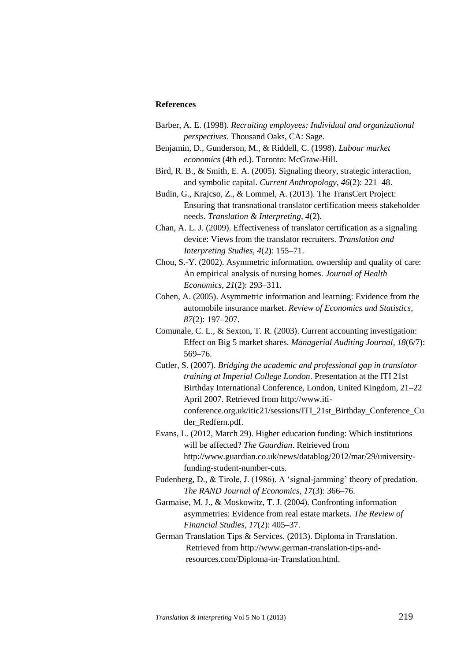### **References**

- Barber, A. E. (1998). *Recruiting employees: Individual and organizational perspectives*. Thousand Oaks, CA: Sage.
- Benjamin, D., Gunderson, M., & Riddell, C. (1998). *Labour market economics* (4th ed.). Toronto: McGraw-Hill.
- Bird, R. B., & Smith, E. A. (2005). Signaling theory, strategic interaction, and symbolic capital. *Current Anthropology*, *46*(2): 221–48.
- Budin, G., Krajcso, Z., & Lommel, A. (2013). The TransCert Project: Ensuring that transnational translator certification meets stakeholder needs. *Translation & Interpreting*, *4*(2).
- Chan, A. L. J. (2009). Effectiveness of translator certification as a signaling device: Views from the translator recruiters. *Translation and Interpreting Studies*, *4*(2): 155–71.
- Chou, S.-Y. (2002). Asymmetric information, ownership and quality of care: An empirical analysis of nursing homes. *Journal of Health Economics*, *21*(2): 293–311.
- Cohen, A. (2005). Asymmetric information and learning: Evidence from the automobile insurance market. *Review of Economics and Statistics*, *87*(2): 197–207.
- Comunale, C. L., & Sexton, T. R. (2003). Current accounting investigation: Effect on Big 5 market shares. *Managerial Auditing Journal*, *18*(6/7): 569–76.
- Cutler, S. (2007). *Bridging the academic and professional gap in translator training at Imperial College London*. Presentation at the ITI 21st Birthday International Conference, London, United Kingdom, 21–22 April 2007. Retrieved from http://www.iticonference.org.uk/itic21/sessions/ITI\_21st\_Birthday\_Conference\_Cu tler\_Redfern.pdf.
- Evans, L. (2012, March 29). Higher education funding: Which institutions will be affected? *The Guardian*. Retrieved from http://www.guardian.co.uk/news/datablog/2012/mar/29/universityfunding-student-number-cuts.
- Fudenberg, D., & Tirole, J. (1986). A 'signal-jamming' theory of predation. *The RAND Journal of Economics*, *17*(3): 366–76.
- Garmaise, M. J., & Moskowitz, T. J. (2004). Confronting information asymmetries: Evidence from real estate markets. *The Review of Financial Studies*, *17*(2): 405–37.
- German Translation Tips & Services. (2013). Diploma in Translation. Retrieved from http://www.german-translation-tips-andresources.com/Diploma-in-Translation.html.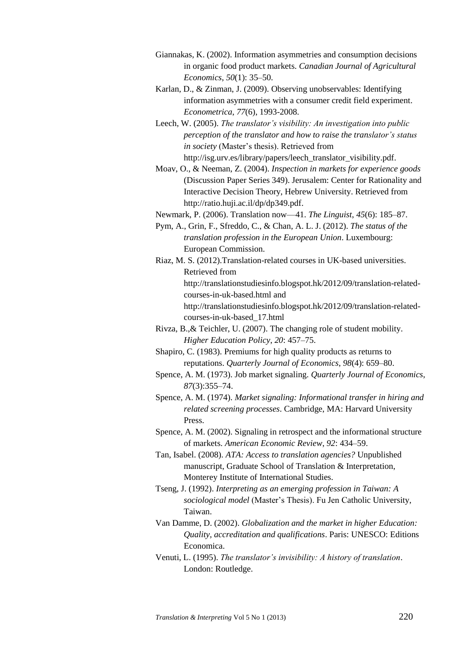- Giannakas, K. (2002). Information asymmetries and consumption decisions in organic food product markets. *Canadian Journal of Agricultural Economics*, *50*(1): 35–50.
- Karlan, D., & Zinman, J. (2009). Observing unobservables: Identifying information asymmetries with a consumer credit field experiment. *Econometrica*, *77*(6), 1993-2008.
- Leech, W. (2005). *The translator's visibility: An investigation into public perception of the translator and how to raise the translator's status in society* (Master's thesis). Retrieved from http://isg.urv.es/library/papers/leech\_translator\_visibility.pdf.
- Moav, O., & Neeman, Z. (2004). *Inspection in markets for experience goods* (Discussion Paper Series 349). Jerusalem: Center for Rationality and Interactive Decision Theory, Hebrew University. Retrieved from http://ratio.huji.ac.il/dp/dp349.pdf.
- Newmark, P. (2006). Translation now—41. *The Linguist*, *45*(6): 185–87.
- Pym, A., Grin, F., Sfreddo, C., & Chan, A. L. J. (2012). *The status of the translation profession in the European Union*. Luxembourg: European Commission.
- Riaz, M. S. (2012).Translation-related courses in UK-based universities. Retrieved from

http://translationstudiesinfo.blogspot.hk/2012/09/translation-relatedcourses-in-uk-based.html and

http://translationstudiesinfo.blogspot.hk/2012/09/translation-relatedcourses-in-uk-based\_17.html

- Rivza, B.,& Teichler, U. (2007). The changing role of student mobility. *Higher Education Policy*, *20*: 457–75.
- Shapiro, C. (1983). Premiums for high quality products as returns to reputations. *Quarterly Journal of Economics*, *98*(4): 659–80.
- Spence, A. M. (1973). Job market signaling. *Quarterly Journal of Economics*, *87*(3):355–74.
- Spence, A. M. (1974). *Market signaling: Informational transfer in hiring and related screening processes*. Cambridge, MA: Harvard University Press.
- Spence, A. M. (2002). Signaling in retrospect and the informational structure of markets. *American Economic Review*, *92*: 434–59.
- Tan, Isabel. (2008). *ATA: Access to translation agencies?* Unpublished manuscript, Graduate School of Translation & Interpretation, Monterey Institute of International Studies.
- Tseng, J. (1992). *Interpreting as an emerging profession in Taiwan: A sociological model* (Master's Thesis). Fu Jen Catholic University, Taiwan.
- Van Damme, D. (2002). *Globalization and the market in higher Education: Quality, accreditation and qualifications*. Paris: UNESCO: Editions Economica.
- Venuti, L. (1995). *The translator's invisibility: A history of translation*. London: Routledge.